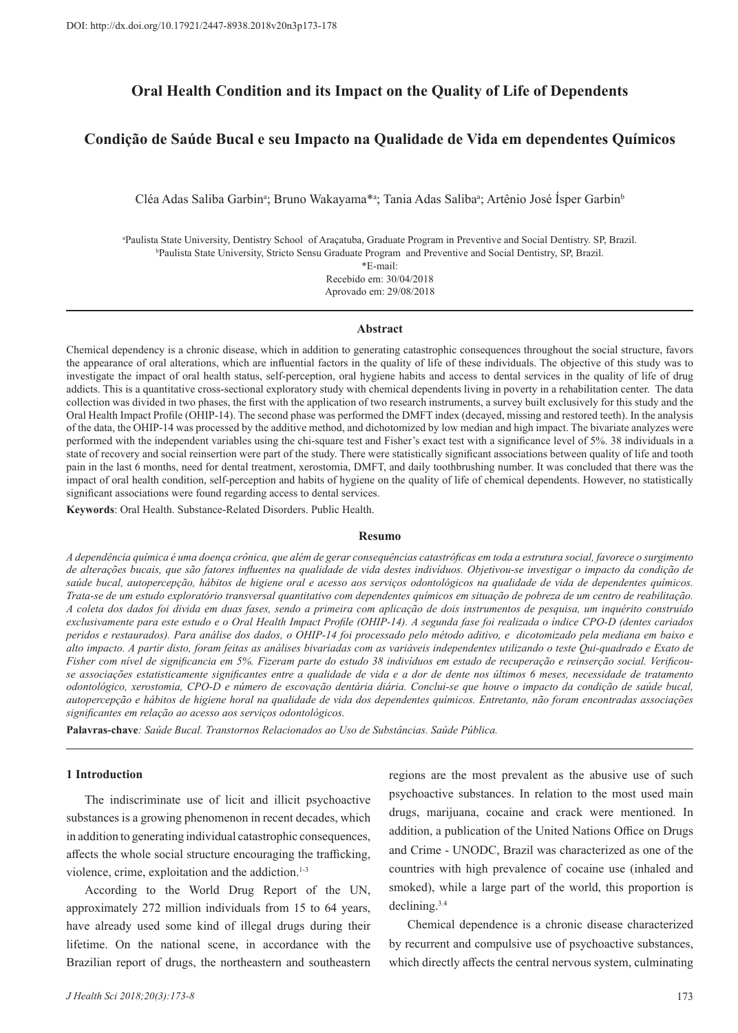# **Oral Health Condition and its Impact on the Quality of Life of Dependents**

# **Condição de Saúde Bucal e seu Impacto na Qualidade de Vida em dependentes Químicos**

Cléa Adas Saliba Garbinª; Bruno Wakayama\*ª; Tania Adas Salibaª; Artênio José Ísper Garbin<sup>ь</sup>

a Paulista State University, Dentistry School of Araçatuba, Graduate Program in Preventive and Social Dentistry. SP, Brazil. b Paulista State University, Stricto Sensu Graduate Program and Preventive and Social Dentistry, SP, Brazil.

> \*E-mail: Recebido em: 30/04/2018

> Aprovado em: 29/08/2018

#### **Abstract**

Chemical dependency is a chronic disease, which in addition to generating catastrophic consequences throughout the social structure, favors the appearance of oral alterations, which are influential factors in the quality of life of these individuals. The objective of this study was to investigate the impact of oral health status, self-perception, oral hygiene habits and access to dental services in the quality of life of drug addicts. This is a quantitative cross-sectional exploratory study with chemical dependents living in poverty in a rehabilitation center. The data collection was divided in two phases, the first with the application of two research instruments, a survey built exclusively for this study and the Oral Health Impact Profile (OHIP-14). The second phase was performed the DMFT index (decayed, missing and restored teeth). In the analysis of the data, the OHIP-14 was processed by the additive method, and dichotomized by low median and high impact. The bivariate analyzes were performed with the independent variables using the chi-square test and Fisher's exact test with a significance level of 5%. 38 individuals in a state of recovery and social reinsertion were part of the study. There were statistically significant associations between quality of life and tooth pain in the last 6 months, need for dental treatment, xerostomia, DMFT, and daily toothbrushing number. It was concluded that there was the impact of oral health condition, self-perception and habits of hygiene on the quality of life of chemical dependents. However, no statistically significant associations were found regarding access to dental services.

**Keywords**: Oral Health. Substance-Related Disorders. Public Health.

#### **Resumo**

*A dependência química é uma doença crônica, que além de gerar consequências catastróficas em toda a estrutura social, favorece o surgimento de alterações bucais, que são fatores influentes na qualidade de vida destes indivíduos. Objetivou-se investigar o impacto da condição de saúde bucal, autopercepção, hábitos de higiene oral e acesso aos serviços odontológicos na qualidade de vida de dependentes químicos. Trata-se de um estudo exploratório transversal quantitativo com dependentes químicos em situação de pobreza de um centro de reabilitação. A coleta dos dados foi divida em duas fases, sendo a primeira com aplicação de dois instrumentos de pesquisa, um inquérito construído exclusivamente para este estudo e o Oral Health Impact Profile (OHIP-14). A segunda fase foi realizada o índice CPO-D (dentes cariados peridos e restaurados). Para análise dos dados, o OHIP-14 foi processado pelo método aditivo, e dicotomizado pela mediana em baixo e alto impacto. A partir disto, foram feitas as análises bivariadas com as variáveis independentes utilizando o teste Qui-quadrado e Exato de Fisher com nível de significancia em 5%. Fizeram parte do estudo 38 indivíduos em estado de recuperação e reinserção social. Verificouse associações estatisticamente significantes entre a qualidade de vida e a dor de dente nos últimos 6 meses, necessidade de tratamento odontológico, xerostomia, CPO-D e número de escovação dentária diária. Conclui-se que houve o impacto da condição de saúde bucal, autopercepção e hábitos de higiene horal na qualidade de vida dos dependentes químicos. Entretanto, não foram encontradas associações significantes em relação ao acesso aos serviços odontológicos.*

**Palavras-chave***: Saúde Bucal. Transtornos Relacionados ao Uso de Substâncias. Saúde Pública.* 

### **1 Introduction**

The indiscriminate use of licit and illicit psychoactive substances is a growing phenomenon in recent decades, which in addition to generating individual catastrophic consequences, affects the whole social structure encouraging the trafficking, violence, crime, exploitation and the addiction.<sup>1-3</sup>

According to the World Drug Report of the UN, approximately 272 million individuals from 15 to 64 years, have already used some kind of illegal drugs during their lifetime. On the national scene, in accordance with the Brazilian report of drugs, the northeastern and southeastern

regions are the most prevalent as the abusive use of such psychoactive substances. In relation to the most used main drugs, marijuana, cocaine and crack were mentioned. In addition, a publication of the United Nations Office on Drugs and Crime - UNODC, Brazil was characterized as one of the countries with high prevalence of cocaine use (inhaled and smoked), while a large part of the world, this proportion is declining.3.4

Chemical dependence is a chronic disease characterized by recurrent and compulsive use of psychoactive substances, which directly affects the central nervous system, culminating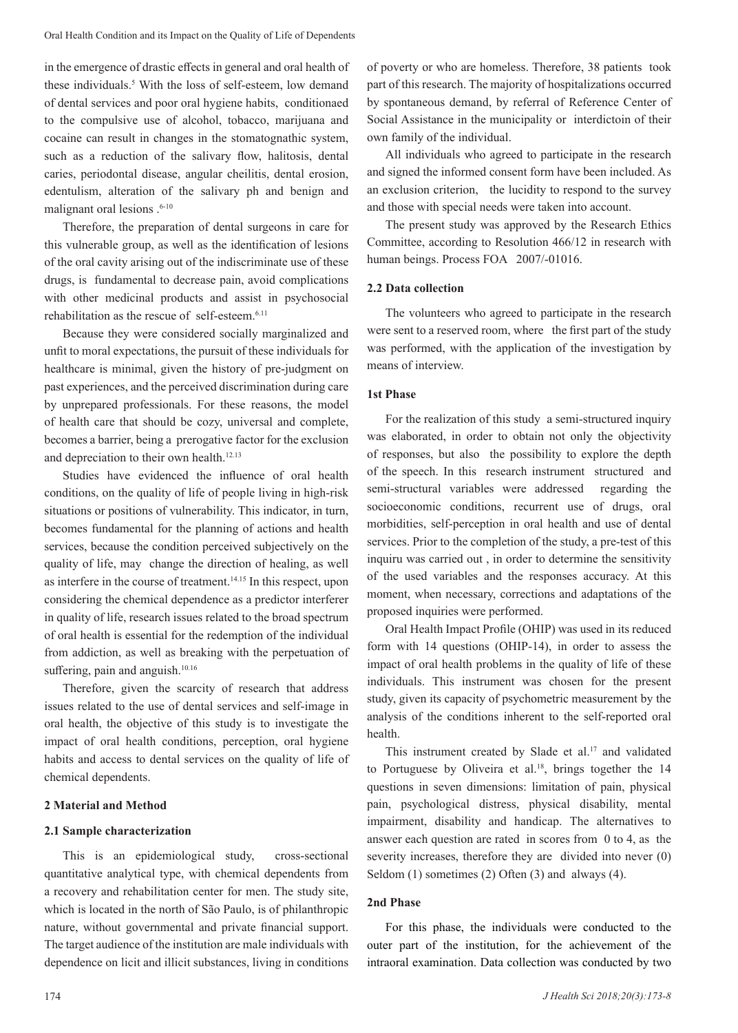in the emergence of drastic effects in general and oral health of these individuals.5 With the loss of self-esteem, low demand of dental services and poor oral hygiene habits, conditionaed to the compulsive use of alcohol, tobacco, marijuana and cocaine can result in changes in the stomatognathic system, such as a reduction of the salivary flow, halitosis, dental caries, periodontal disease, angular cheilitis, dental erosion, edentulism, alteration of the salivary ph and benign and malignant oral lesions .6-10

Therefore, the preparation of dental surgeons in care for this vulnerable group, as well as the identification of lesions of the oral cavity arising out of the indiscriminate use of these drugs, is fundamental to decrease pain, avoid complications with other medicinal products and assist in psychosocial rehabilitation as the rescue of self-esteem.6.11

Because they were considered socially marginalized and unfit to moral expectations, the pursuit of these individuals for healthcare is minimal, given the history of pre-judgment on past experiences, and the perceived discrimination during care by unprepared professionals. For these reasons, the model of health care that should be cozy, universal and complete, becomes a barrier, being a prerogative factor for the exclusion and depreciation to their own health.12.13

Studies have evidenced the influence of oral health conditions, on the quality of life of people living in high-risk situations or positions of vulnerability. This indicator, in turn, becomes fundamental for the planning of actions and health services, because the condition perceived subjectively on the quality of life, may change the direction of healing, as well as interfere in the course of treatment.<sup>14,15</sup> In this respect, upon considering the chemical dependence as a predictor interferer in quality of life, research issues related to the broad spectrum of oral health is essential for the redemption of the individual from addiction, as well as breaking with the perpetuation of suffering, pain and anguish.<sup>10.16</sup>

Therefore, given the scarcity of research that address issues related to the use of dental services and self-image in oral health, the objective of this study is to investigate the impact of oral health conditions, perception, oral hygiene habits and access to dental services on the quality of life of chemical dependents.

### **2 Material and Method**

### **2.1 Sample characterization**

This is an epidemiological study, cross-sectional quantitative analytical type, with chemical dependents from a recovery and rehabilitation center for men. The study site, which is located in the north of São Paulo, is of philanthropic nature, without governmental and private financial support. The target audience of the institution are male individuals with dependence on licit and illicit substances, living in conditions

of poverty or who are homeless. Therefore, 38 patients took part of this research. The majority of hospitalizations occurred by spontaneous demand, by referral of Reference Center of Social Assistance in the municipality or interdictoin of their own family of the individual.

All individuals who agreed to participate in the research and signed the informed consent form have been included. As an exclusion criterion, the lucidity to respond to the survey and those with special needs were taken into account.

The present study was approved by the Research Ethics Committee, according to Resolution 466/12 in research with human beings. Process FOA 2007/-01016.

## **2.2 Data collection**

The volunteers who agreed to participate in the research were sent to a reserved room, where the first part of the study was performed, with the application of the investigation by means of interview.

## **1st Phase**

For the realization of this study a semi-structured inquiry was elaborated, in order to obtain not only the objectivity of responses, but also the possibility to explore the depth of the speech. In this research instrument structured and semi-structural variables were addressed regarding the socioeconomic conditions, recurrent use of drugs, oral morbidities, self-perception in oral health and use of dental services. Prior to the completion of the study, a pre-test of this inquiru was carried out , in order to determine the sensitivity of the used variables and the responses accuracy. At this moment, when necessary, corrections and adaptations of the proposed inquiries were performed.

Oral Health Impact Profile (OHIP) was used in its reduced form with 14 questions (OHIP-14), in order to assess the impact of oral health problems in the quality of life of these individuals. This instrument was chosen for the present study, given its capacity of psychometric measurement by the analysis of the conditions inherent to the self-reported oral health.

This instrument created by Slade et al.<sup>17</sup> and validated to Portuguese by Oliveira et al.<sup>18</sup>, brings together the 14 questions in seven dimensions: limitation of pain, physical pain, psychological distress, physical disability, mental impairment, disability and handicap. The alternatives to answer each question are rated in scores from 0 to 4, as the severity increases, therefore they are divided into never  $(0)$ Seldom (1) sometimes (2) Often (3) and always (4).

## **2nd Phase**

For this phase, the individuals were conducted to the outer part of the institution, for the achievement of the intraoral examination. Data collection was conducted by two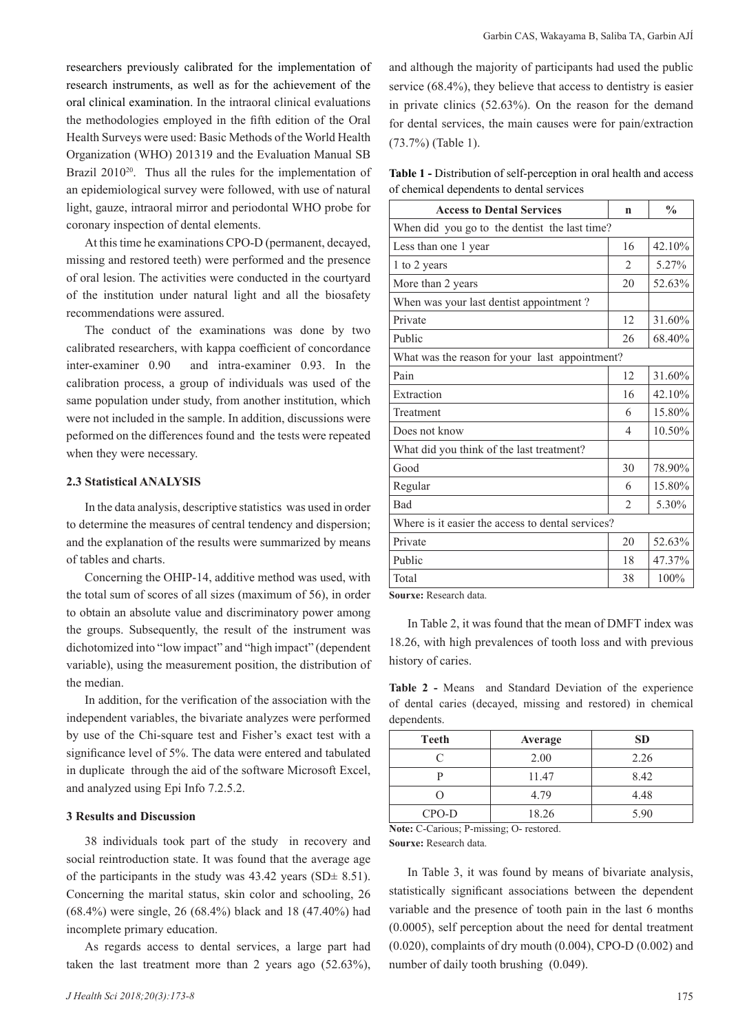researchers previously calibrated for the implementation of research instruments, as well as for the achievement of the oral clinical examination. In the intraoral clinical evaluations the methodologies employed in the fifth edition of the Oral Health Surveys were used: Basic Methods of the World Health Organization (WHO) 201319 and the Evaluation Manual SB Brazil 2010<sup>20</sup>. Thus all the rules for the implementation of an epidemiological survey were followed, with use of natural light, gauze, intraoral mirror and periodontal WHO probe for coronary inspection of dental elements.

At this time he examinations CPO-D (permanent, decayed, missing and restored teeth) were performed and the presence of oral lesion. The activities were conducted in the courtyard of the institution under natural light and all the biosafety recommendations were assured.

The conduct of the examinations was done by two calibrated researchers, with kappa coefficient of concordance inter-examiner 0.90 and intra-examiner 0.93. In the calibration process, a group of individuals was used of the same population under study, from another institution, which were not included in the sample. In addition, discussions were peformed on the differences found and the tests were repeated when they were necessary.

### **2.3 Statistical ANALYSIS**

In the data analysis, descriptive statistics was used in order to determine the measures of central tendency and dispersion; and the explanation of the results were summarized by means of tables and charts.

Concerning the OHIP-14, additive method was used, with the total sum of scores of all sizes (maximum of 56), in order to obtain an absolute value and discriminatory power among the groups. Subsequently, the result of the instrument was dichotomized into "low impact" and "high impact" (dependent variable), using the measurement position, the distribution of the median.

In addition, for the verification of the association with the independent variables, the bivariate analyzes were performed by use of the Chi-square test and Fisher's exact test with a significance level of 5%. The data were entered and tabulated in duplicate through the aid of the software Microsoft Excel, and analyzed using Epi Info 7.2.5.2.

### **3 Results and Discussion**

38 individuals took part of the study in recovery and social reintroduction state. It was found that the average age of the participants in the study was  $43.42$  years (SD $\pm$  8.51). Concerning the marital status, skin color and schooling, 26 (68.4%) were single, 26 (68.4%) black and 18 (47.40%) had incomplete primary education.

As regards access to dental services, a large part had taken the last treatment more than 2 years ago (52.63%), and although the majority of participants had used the public service (68.4%), they believe that access to dentistry is easier in private clinics (52.63%). On the reason for the demand for dental services, the main causes were for pain/extraction (73.7%) (Table 1).

**Table 1 -** Distribution of self-perception in oral health and access of chemical dependents to dental services

| <b>Access to Dental Services</b>                  | n                        | $\frac{0}{0}$ |  |  |
|---------------------------------------------------|--------------------------|---------------|--|--|
| When did you go to the dentist the last time?     |                          |               |  |  |
| Less than one 1 year                              | 16                       | 42.10%        |  |  |
| 1 to 2 years                                      | $\mathfrak{D}$           | 5.27%         |  |  |
| More than 2 years                                 | 20                       | 52.63%        |  |  |
| When was your last dentist appointment?           |                          |               |  |  |
| Private                                           | 12                       | 31.60%        |  |  |
| Public                                            | 26                       | 68.40%        |  |  |
| What was the reason for your last appointment?    |                          |               |  |  |
| Pain                                              | 12                       | 31.60%        |  |  |
| Extraction                                        | 16                       | 42.10%        |  |  |
| Treatment                                         | 6                        | 15.80%        |  |  |
| Does not know                                     | $\overline{\mathcal{A}}$ | 10.50%        |  |  |
| What did you think of the last treatment?         |                          |               |  |  |
| Good                                              | 30                       | 78.90%        |  |  |
| Regular                                           | 6                        | 15.80%        |  |  |
| <b>Bad</b>                                        | $\mathfrak{D}$           | 5.30%         |  |  |
| Where is it easier the access to dental services? |                          |               |  |  |
| Private                                           | 20                       | 52.63%        |  |  |
| Public                                            | 18                       | 47.37%        |  |  |
| Total                                             | 38                       | 100%          |  |  |

**Sourxe:** Research data.

In Table 2, it was found that the mean of DMFT index was 18.26, with high prevalences of tooth loss and with previous history of caries.

**Table 2 -** Means and Standard Deviation of the experience of dental caries (decayed, missing and restored) in chemical dependents.

| Teeth     | Average | <b>SD</b> |
|-----------|---------|-----------|
| $\subset$ | 2.00    | 2.26      |
|           | 11.47   | 8.42      |
|           | 4.79    | 4.48      |
| $CPO-D$   | 18.26   | 5.90      |

**Note:** C-Carious; P-missing; O- restored.

**Sourxe:** Research data.

In Table 3, it was found by means of bivariate analysis, statistically significant associations between the dependent variable and the presence of tooth pain in the last 6 months (0.0005), self perception about the need for dental treatment (0.020), complaints of dry mouth (0.004), CPO-D (0.002) and number of daily tooth brushing (0.049).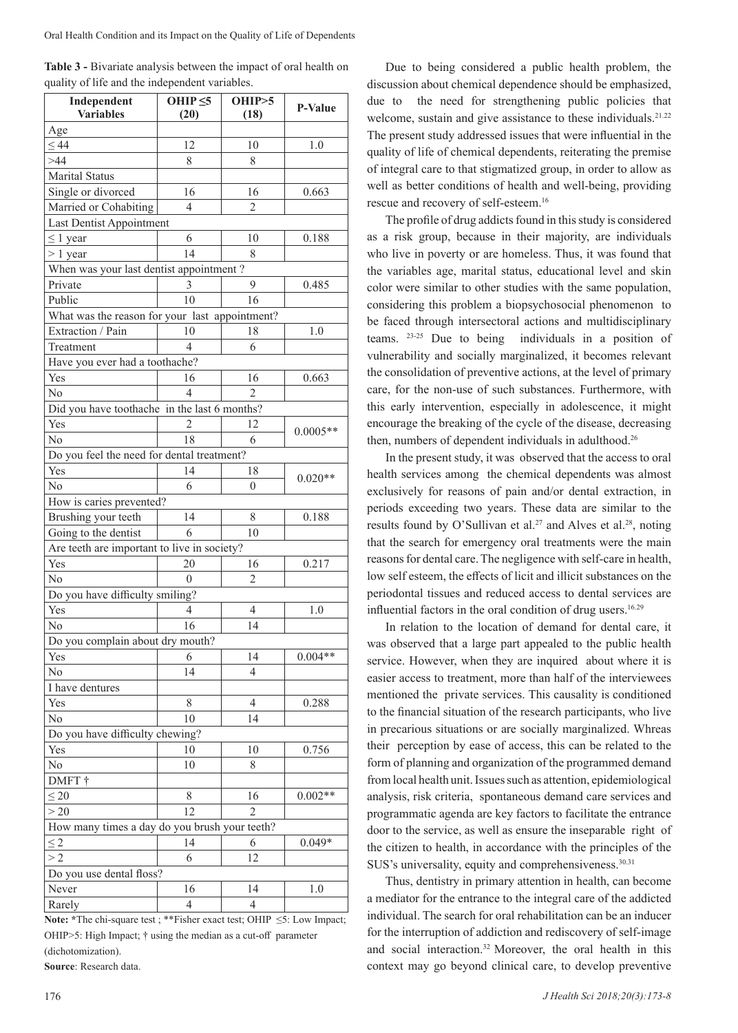| Table 3 - Bivariate analysis between the impact of oral health on |  |
|-------------------------------------------------------------------|--|
| quality of life and the independent variables.                    |  |

| Independent<br><b>Variables</b>                | OHIP $<$ 5<br>(20)                            | OHIP > 5<br>(18) | P-Value    |  |  |  |
|------------------------------------------------|-----------------------------------------------|------------------|------------|--|--|--|
| Age                                            |                                               |                  |            |  |  |  |
| $\leq 44$                                      | 12                                            | 10               | 1.0        |  |  |  |
| >44                                            | 8                                             | 8                |            |  |  |  |
| Marital Status                                 |                                               |                  |            |  |  |  |
| Single or divorced                             | 16                                            | 16               | 0.663      |  |  |  |
| Married or Cohabiting                          | 4                                             | 2                |            |  |  |  |
| Last Dentist Appointment                       |                                               |                  |            |  |  |  |
| $\leq 1$ year                                  | 6                                             | 10               | 0.188      |  |  |  |
| $> 1$ year                                     | 14                                            | 8                |            |  |  |  |
| When was your last dentist appointment?        |                                               |                  |            |  |  |  |
| Private                                        | 3                                             | 9                | 0.485      |  |  |  |
| Public                                         | 10                                            | 16               |            |  |  |  |
| What was the reason for your last appointment? |                                               |                  |            |  |  |  |
| Extraction / Pain                              | 10                                            | 18               | 1.0        |  |  |  |
| Treatment                                      | 4                                             | 6                |            |  |  |  |
| Have you ever had a toothache?                 |                                               |                  |            |  |  |  |
| Yes                                            | 16                                            | 16               | 0.663      |  |  |  |
| No                                             | $\overline{4}$                                | $\mathfrak{D}$   |            |  |  |  |
| Did you have toothache in the last 6 months?   |                                               |                  |            |  |  |  |
| Yes                                            | $\overline{c}$                                | 12               |            |  |  |  |
| N <sub>0</sub>                                 | 18                                            | 6                | $0.0005**$ |  |  |  |
| Do you feel the need for dental treatment?     |                                               |                  |            |  |  |  |
| Yes                                            | 14                                            | 18               |            |  |  |  |
| No                                             | 6                                             | 0                | $0.020**$  |  |  |  |
| How is caries prevented?                       |                                               |                  |            |  |  |  |
| Brushing your teeth                            | 14                                            | 8                | 0.188      |  |  |  |
| Going to the dentist                           | 6                                             | 10               |            |  |  |  |
| Are teeth are important to live in society?    |                                               |                  |            |  |  |  |
| Yes                                            | 20                                            | 16               | 0.217      |  |  |  |
| No                                             | $\theta$                                      | $\overline{2}$   |            |  |  |  |
| Do you have difficulty smiling?                |                                               |                  |            |  |  |  |
| Yes                                            | 4                                             | 4                | 1.0        |  |  |  |
| No                                             | 16                                            | 14               |            |  |  |  |
| Do you complain about dry mouth?               |                                               |                  |            |  |  |  |
| Yes                                            | 6                                             | 14               | $0.004**$  |  |  |  |
| No                                             | 14                                            | 4                |            |  |  |  |
| I have dentures                                |                                               |                  |            |  |  |  |
| Yes                                            | 8                                             | 4                | 0.288      |  |  |  |
| N <sub>o</sub>                                 | 10                                            | 14               |            |  |  |  |
| Do you have difficulty chewing?                |                                               |                  |            |  |  |  |
| Yes                                            | 10                                            | 10               | 0.756      |  |  |  |
| No                                             | 10                                            | 8                |            |  |  |  |
| DMFT †                                         |                                               |                  |            |  |  |  |
| $\leq 20$                                      | 8                                             | 16               | $0.002**$  |  |  |  |
| > 20                                           | 12                                            | $\overline{2}$   |            |  |  |  |
|                                                | How many times a day do you brush your teeth? |                  |            |  |  |  |
| $\leq$ 2                                       | 14                                            | 6                | $0.049*$   |  |  |  |
| >2                                             | 6                                             | 12               |            |  |  |  |
| Do you use dental floss?                       |                                               |                  |            |  |  |  |
| Never                                          | 16                                            | 14               | 1.0        |  |  |  |
| Rarely                                         | 4                                             | 4                |            |  |  |  |

**Note: \***The chi-square test ; \*\*Fisher exact test; OHIP ≤5: Low Impact; OHIP>5: High Impact; † using the median as a cut-off parameter (dichotomization).

**Source**: Research data.

Due to being considered a public health problem, the discussion about chemical dependence should be emphasized, due to the need for strengthening public policies that welcome, sustain and give assistance to these individuals.<sup>21.22</sup> The present study addressed issues that were influential in the quality of life of chemical dependents, reiterating the premise of integral care to that stigmatized group, in order to allow as well as better conditions of health and well-being, providing rescue and recovery of self-esteem.<sup>16</sup>

The profile of drug addicts found in this study is considered as a risk group, because in their majority, are individuals who live in poverty or are homeless. Thus, it was found that the variables age, marital status, educational level and skin color were similar to other studies with the same population, considering this problem a biopsychosocial phenomenon to be faced through intersectoral actions and multidisciplinary teams. 23-25 Due to being individuals in a position of vulnerability and socially marginalized, it becomes relevant the consolidation of preventive actions, at the level of primary care, for the non-use of such substances. Furthermore, with this early intervention, especially in adolescence, it might encourage the breaking of the cycle of the disease, decreasing then, numbers of dependent individuals in adulthood.26

In the present study, it was observed that the access to oral health services among the chemical dependents was almost exclusively for reasons of pain and/or dental extraction, in periods exceeding two years. These data are similar to the results found by O'Sullivan et al.<sup>27</sup> and Alves et al.<sup>28</sup>, noting that the search for emergency oral treatments were the main reasons for dental care. The negligence with self-care in health, low self esteem, the effects of licit and illicit substances on the periodontal tissues and reduced access to dental services are influential factors in the oral condition of drug users.16.29

In relation to the location of demand for dental care, it was observed that a large part appealed to the public health service. However, when they are inquired about where it is easier access to treatment, more than half of the interviewees mentioned the private services. This causality is conditioned to the financial situation of the research participants, who live in precarious situations or are socially marginalized. Whreas their perception by ease of access, this can be related to the form of planning and organization of the programmed demand from local health unit. Issues such as attention, epidemiological analysis, risk criteria, spontaneous demand care services and programmatic agenda are key factors to facilitate the entrance door to the service, as well as ensure the inseparable right of the citizen to health, in accordance with the principles of the SUS's universality, equity and comprehensiveness.<sup>30.31</sup>

Thus, dentistry in primary attention in health, can become a mediator for the entrance to the integral care of the addicted individual. The search for oral rehabilitation can be an inducer for the interruption of addiction and rediscovery of self-image and social interaction.32 Moreover, the oral health in this context may go beyond clinical care, to develop preventive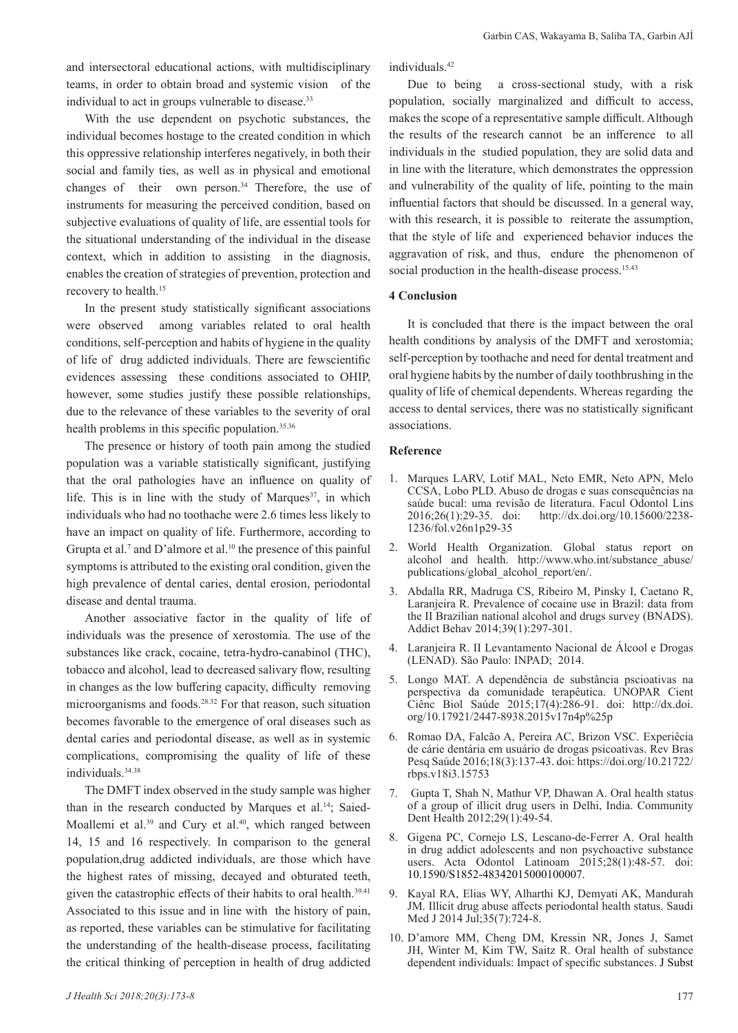and intersectoral educational actions, with multidisciplinary teams, in order to obtain broad and systemic vision of the individual to act in groups vulnerable to disease.<sup>33</sup>

With the use dependent on psychotic substances, the individual becomes hostage to the created condition in which this oppressive relationship interferes negatively, in both their social and family ties, as well as in physical and emotional changes of their own person. $34$  Therefore, the use of instruments for measuring the perceived condition, based on subjective evaluations of quality of life, are essential tools for the situational understanding of the individual in the disease context, which in addition to assisting in the diagnosis, enables the creation of strategies of prevention, protection and recovery to health.<sup>15</sup>

In the present study statistically significant associations were observed among variables related to oral health conditions, self-perception and habits of hygiene in the quality of life of drug addicted individuals. There are fewscientific evidences assessing these conditions associated to OHIP, however, some studies justify these possible relationships, due to the relevance of these variables to the severity of oral health problems in this specific population.35.36

The presence or history of tooth pain among the studied population was a variable statistically significant, justifying that the oral pathologies have an influence on quality of life. This is in line with the study of Marques<sup>37</sup>, in which individuals who had no toothache were 2.6 times less likely to have an impact on quality of life. Furthermore, according to Grupta et al.<sup>7</sup> and D'almore et al.<sup>10</sup> the presence of this painful symptoms is attributed to the existing oral condition, given the high prevalence of dental caries, dental erosion, periodontal disease and dental trauma.

Another associative factor in the quality of life of individuals was the presence of xerostomia. The use of the substances like crack, cocaine, tetra-hydro-canabinol (THC), tobacco and alcohol, lead to decreased salivary flow, resulting in changes as the low buffering capacity, difficulty removing microorganisms and foods.28.32 For that reason, such situation becomes favorable to the emergence of oral diseases such as dental caries and periodontal disease, as well as in systemic complications, compromising the quality of life of these individuals.34.38

The DMFT index observed in the study sample was higher than in the research conducted by Marques et al.<sup>14</sup>; Saied-Moallemi et al. $39$  and Cury et al. $40$ , which ranged between 14, 15 and 16 respectively. In comparison to the general population,drug addicted individuals, are those which have the highest rates of missing, decayed and obturated teeth, given the catastrophic effects of their habits to oral health.<sup>39,41</sup> Associated to this issue and in line with the history of pain, as reported, these variables can be stimulative for facilitating the understanding of the health-disease process, facilitating the critical thinking of perception in health of drug addicted individuals.42

Due to being a cross-sectional study, with a risk population, socially marginalized and difficult to access, makes the scope of a representative sample difficult. Although the results of the research cannot be an infference to all individuals in the studied population, they are solid data and in line with the literature, which demonstrates the oppression and vulnerability of the quality of life, pointing to the main influential factors that should be discussed. In a general way, with this research, it is possible to reiterate the assumption, that the style of life and experienced behavior induces the aggravation of risk, and thus, endure the phenomenon of social production in the health-disease process.<sup>15.43</sup>

# **4 Conclusion**

It is concluded that there is the impact between the oral health conditions by analysis of the DMFT and xerostomia; self-perception by toothache and need for dental treatment and oral hygiene habits by the number of daily toothbrushing in the quality of life of chemical dependents. Whereas regarding the access to dental services, there was no statistically significant associations.

#### **Reference**

- 1. Marques LARV, Lotif MAL, Neto EMR, Neto APN, Melo CCSA, Lobo PLD. Abuso de drogas e suas consequências na saúde bucal: uma revisão de literatura. Facul Odontol Lins 2016;26(1):29-35. doi: http://dx.doi.org/10.15600/2238- 1236/fol.v26n1p29-35
- 2. World Health Organization. Global status report on alcohol and health. http://www.who.int/substance\_abuse/ publications/global\_alcohol\_report/en/.
- 3. Abdalla RR, Madruga CS, Ribeiro M, Pinsky I, Caetano R, Laranjeira R. Prevalence of cocaine use in Brazil: data from the II Brazilian national alcohol and drugs survey (BNADS). Addict Behav 2014;39(1):297-301.
- 4. Laranjeira R. II Levantamento Nacional de Álcool e Drogas (LENAD). São Paulo: INPAD; 2014.
- 5. Longo MAT. A dependência de substância pscioativas na perspectiva da comunidade terapêutica. UNOPAR Cient Ciênc Biol Saúde 2015;17(4):286-91. doi: http://dx.doi. org/10.17921/2447-8938.2015v17n4p%25p
- 6. Romao DA, Falcão A, Pereira AC, Brizon VSC. Experiêcia de cárie dentária em usuário de drogas psicoativas. Rev Bras Pesq Saúde 2016;18(3):137-43. doi: https://doi.org/10.21722/ rbps.v18i3.15753
- 7. Gupta T, Shah N, Mathur VP, Dhawan A. Oral health status of a group of illicit drug users in Delhi, India. Community Dent Health 2012;29(1):49-54.
- 8. Gigena PC, Cornejo LS, Lescano-de-Ferrer A. Oral health in drug addict adolescents and non psychoactive substance users. Acta Odontol Latinoam 2015;28(1):48-57. doi: 10.1590/S1852-48342015000100007.
- 9. Kayal RA, Elias WY, Alharthi KJ, Demyati AK, Mandurah JM. Illicit drug abuse affects periodontal health status. Saudi Med J 2014 Jul;35(7):724-8.
- 10. D'amore MM, Cheng DM, Kressin NR, Jones J, Samet JH, Winter M, Kim TW, Saitz R. Oral health of substance dependent individuals: Impact of specific substances. J Subst